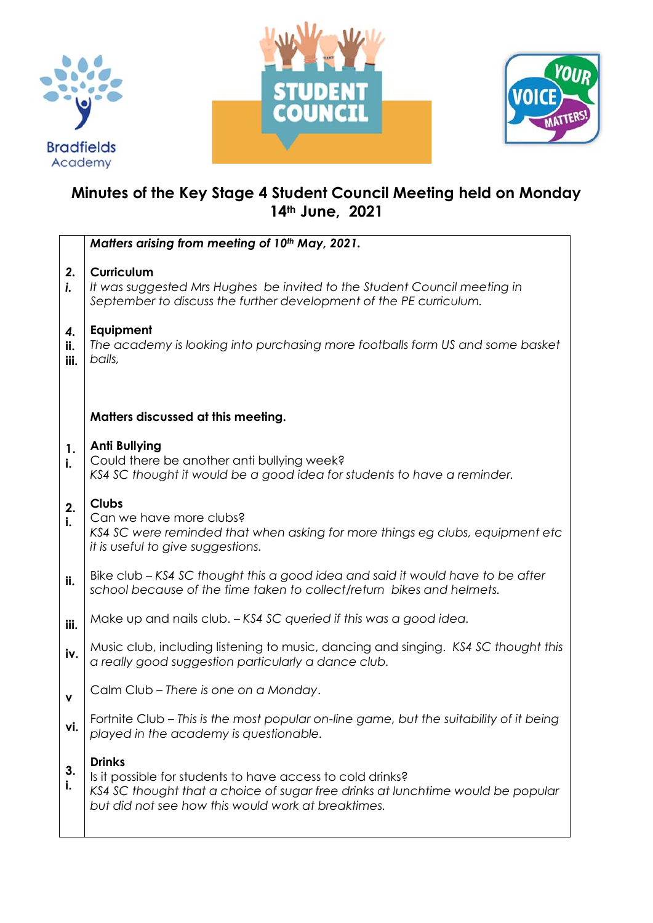





## **Minutes of the Key Stage 4 Student Council Meeting held on Monday 14th June, 2021**

|                   | Matters arising from meeting of 10th May, 2021.                                                                                                                                                                      |
|-------------------|----------------------------------------------------------------------------------------------------------------------------------------------------------------------------------------------------------------------|
| 2.<br>i.          | <b>Curriculum</b><br>It was suggested Mrs Hughes be invited to the Student Council meeting in<br>September to discuss the further development of the PE curriculum.                                                  |
| 4.<br>ii.<br>iii. | Equipment<br>The academy is looking into purchasing more footballs form US and some basket<br>balls,                                                                                                                 |
|                   |                                                                                                                                                                                                                      |
|                   | Matters discussed at this meeting.                                                                                                                                                                                   |
| 1.<br>i.          | <b>Anti Bullying</b><br>Could there be another anti bullying week?<br>KS4 SC thought it would be a good idea for students to have a reminder.                                                                        |
| 2.<br>i.          | <b>Clubs</b><br>Can we have more clubs?<br>KS4 SC were reminded that when asking for more things eg clubs, equipment etc<br>it is useful to give suggestions.                                                        |
| ii.               | Bike club – KS4 SC thought this a good idea and said it would have to be after<br>school because of the time taken to collect/return bikes and helmets.                                                              |
| iii.              | Make up and nails club. - KS4 SC queried if this was a good idea.                                                                                                                                                    |
| iv.               | Music club, including listening to music, dancing and singing. KS4 SC thought this<br>a really good suggestion particularly a dance club.                                                                            |
| $\mathbf v$       | Calm Club - There is one on a Monday.                                                                                                                                                                                |
| vi.               | Fortnite Club - This is the most popular on-line game, but the suitability of it being<br>played in the academy is questionable.                                                                                     |
| 3.<br>i.          | <b>Drinks</b><br>Is it possible for students to have access to cold drinks?<br>KS4 SC thought that a choice of sugar free drinks at lunchtime would be popular<br>but did not see how this would work at breaktimes. |